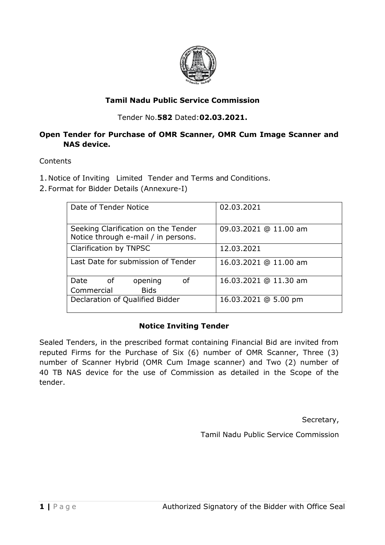

# **Tamil Nadu Public Service Commission**

Tender No.**582** Dated:**02.03.2021.**

# **Open Tender for Purchase of OMR Scanner, OMR Cum Image Scanner and NAS device.**

## **Contents**

1.Notice of Inviting Limited Tender and Terms and Conditions.

2.Format for Bidder Details (Annexure-I)

| Date of Tender Notice                                                      | 02.03.2021            |  |
|----------------------------------------------------------------------------|-----------------------|--|
| Seeking Clarification on the Tender<br>Notice through e-mail / in persons. | 09.03.2021 @ 11.00 am |  |
| Clarification by TNPSC                                                     | 12.03.2021            |  |
| Last Date for submission of Tender                                         | 16.03.2021 @ 11.00 am |  |
| Date<br>of<br>opening<br>οf                                                | 16.03.2021 @ 11.30 am |  |
| Commercial<br><b>Bids</b>                                                  |                       |  |
| Declaration of Qualified Bidder                                            | 16.03.2021 @ 5.00 pm  |  |

## **Notice Inviting Tender**

Sealed Tenders, in the prescribed format containing Financial Bid are invited from reputed Firms for the Purchase of Six (6) number of OMR Scanner, Three (3) number of Scanner Hybrid (OMR Cum Image scanner) and Two (2) number of 40 TB NAS device for the use of Commission as detailed in the Scope of the tender.

Secretary,

Tamil Nadu Public Service Commission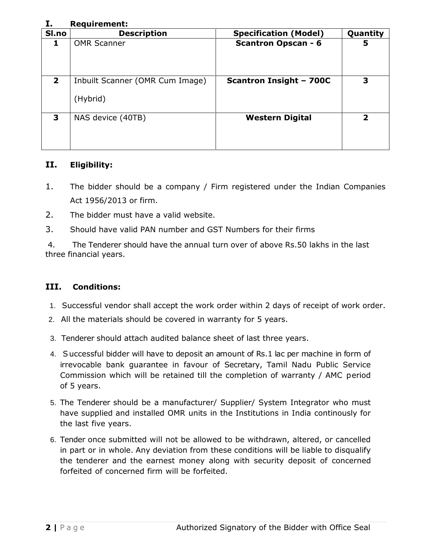#### **I. Requirement:**

| Sl.no        | <b>Description</b>                          | <b>Specification (Model)</b>   | Quantity                |
|--------------|---------------------------------------------|--------------------------------|-------------------------|
|              | <b>OMR Scanner</b>                          | <b>Scantron Opscan - 6</b>     | 5                       |
| $\mathbf{2}$ | Inbuilt Scanner (OMR Cum Image)<br>(Hybrid) | <b>Scantron Insight - 700C</b> | 3                       |
| 3            | NAS device (40TB)                           | <b>Western Digital</b>         | $\overline{\mathbf{z}}$ |

## **II. Eligibility:**

- 1. The bidder should be a company / Firm registered under the Indian Companies Act 1956/2013 or firm.
- 2. The bidder must have a valid website.
- 3. Should have valid PAN number and GST Numbers for their firms

4. The Tenderer should have the annual turn over of above Rs.50 lakhs in the last three financial years.

# **III. Conditions:**

- 1. Successful vendor shall accept the work order within 2 days of receipt of work order.
- 2. All the materials should be covered in warranty for 5 years.
- 3. Tenderer should attach audited balance sheet of last three years.
- 4. Successful bidder will have to deposit an amount of Rs.1 lac per machine in form of irrevocable bank guarantee in favour of Secretary, Tamil Nadu Public Service Commission which will be retained till the completion of warranty / AMC period of 5 years.
- 5. The Tenderer should be a manufacturer/ Supplier/ System Integrator who must have supplied and installed OMR units in the Institutions in India continously for the last five years.
- 6. Tender once submitted will not be allowed to be withdrawn, altered, or cancelled in part or in whole. Any deviation from these conditions will be liable to disqualify the tenderer and the earnest money along with security deposit of concerned forfeited of concerned firm will be forfeited.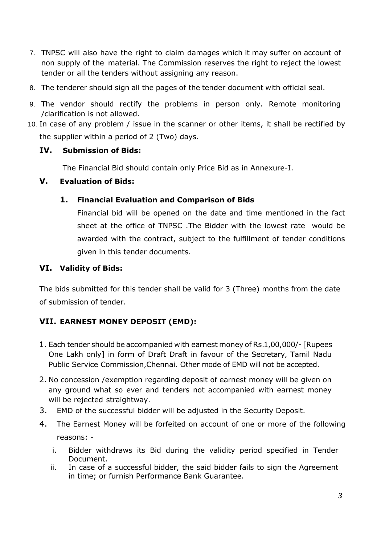- 7. TNPSC will also have the right to claim damages which it may suffer on account of non supply of the material. The Commission reserves the right to reject the lowest tender or all the tenders without assigning any reason.
- 8. The tenderer should sign all the pages of the tender document with official seal.
- 9. The vendor should rectify the problems in person only. Remote monitoring /clarification is not allowed.
- 10. In case of any problem / issue in the scanner or other items, it shall be rectified by the supplier within a period of 2 (Two) days.

## **IV. Submission of Bids:**

The Financial Bid should contain only Price Bid as in Annexure-I.

## **V. Evaluation of Bids:**

## **1. Financial Evaluation and Comparison of Bids**

Financial bid will be opened on the date and time mentioned in the fact sheet at the office of TNPSC .The Bidder with the lowest rate would be awarded with the contract, subject to the fulfillment of tender conditions given in this tender documents.

# **VI. Validity of Bids:**

The bids submitted for this tender shall be valid for 3 (Three) months from the date of submission of tender.

# **VII. EARNEST MONEY DEPOSIT (EMD):**

- 1. Each tender should be accompanied with earnest money of Rs.1,00,000/- [Rupees One Lakh only] in form of Draft Draft in favour of the Secretary, Tamil Nadu Public Service Commission,Chennai. Other mode of EMD will not be accepted.
- 2. No concession /exemption regarding deposit of earnest money will be given on any ground what so ever and tenders not accompanied with earnest money will be rejected straightway.
- 3. EMD of the successful bidder will be adjusted in the Security Deposit.
- 4. The Earnest Money will be forfeited on account of one or more of the following reasons:
	- i. Bidder withdraws its Bid during the validity period specified in Tender Document.
	- ii. In case of a successful bidder, the said bidder fails to sign the Agreement in time; or furnish Performance Bank Guarantee.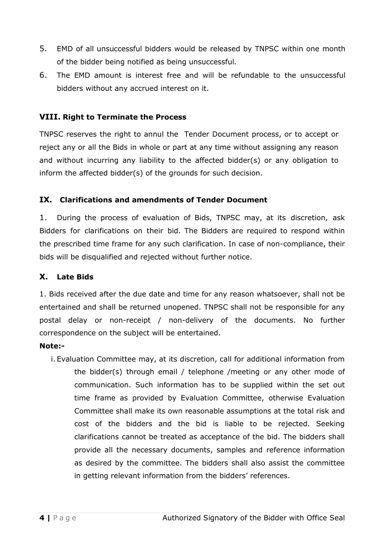- 5. EMD of all unsuccessful bidders would be released by TNPSC within one month of the bidder being notified as being unsuccessful.
- 6. The EMD amount is interest free and will be refundable to the unsuccessful bidders without any accrued interest on it.

#### **VIII. Right to Terminate the Process**

TNPSC reserves the right to annul the Tender Document process, or to accept or reject any or all the Bids in whole or part at any time without assigning any reason and without incurring any liability to the affected bidder(s) or any obligation to inform the affected bidder(s) of the grounds for such decision.

#### **IX. Clarifications and amendments of Tender Document**

1. During the process of evaluation of Bids, TNPSC may, at its discretion, ask Bidders for clarifications on their bid. The Bidders are required to respond within the prescribed time frame for any such clarification. In case of non-compliance, their bids will be disqualified and rejected without further notice.

## **X. Late Bids**

1. Bids received after the due date and time for any reason whatsoever, shall not be entertained and shall be returned unopened. TNPSC shall not be responsible for any postal delay or non-receipt / non-delivery of the documents. No further correspondence on the subject will be entertained.

#### **Note:-**

i. Evaluation Committee may, at its discretion, call for additional information from the bidder(s) through email / telephone /meeting or any other mode of communication. Such information has to be supplied within the set out time frame as provided by Evaluation Committee, otherwise Evaluation Committee shall make its own reasonable assumptions at the total risk and cost of the bidders and the bid is liable to be rejected. Seeking clarifications cannot be treated as acceptance of the bid. The bidders shall provide all the necessary documents, samples and reference information as desired by the committee. The bidders shall also assist the committee in getting relevant information from the bidders' references.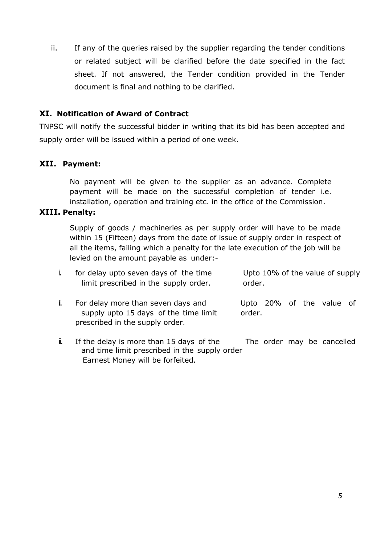ii. If any of the queries raised by the supplier regarding the tender conditions or related subject will be clarified before the date specified in the fact sheet. If not answered, the Tender condition provided in the Tender document is final and nothing to be clarified.

#### **XI. Notification of Award of Contract**

TNPSC will notify the successful bidder in writing that its bid has been accepted and supply order will be issued within a period of one week.

## **XII. Payment:**

No payment will be given to the supplier as an advance. Complete payment will be made on the successful completion of tender i.e. installation, operation and training etc. in the office of the Commission.

#### **XIII. Penalty:**

Supply of goods / machineries as per supply order will have to be made within 15 (Fifteen) days from the date of issue of supply order in respect of all the items, failing which a penalty for the late execution of the job will be levied on the amount payable as under:-

| for delay upto seven days of the time<br>limit prescribed in the supply order.                                 | Upto 10% of the value of supply<br>order. |
|----------------------------------------------------------------------------------------------------------------|-------------------------------------------|
| For delay more than seven days and<br>supply upto 15 days of the time limit<br>prescribed in the supply order. | Upto 20% of the value of<br>order.        |

**ii.** If the delay is more than 15 days of the The order may be cancelled and time limit prescribed in the supply order Earnest Money will be forfeited.